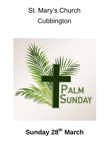# St. Mary's Church **Cubbington**



# **Sunday 28th March**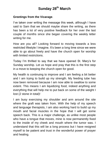## **Sunday 28th March**

#### **Greetings from the Vicarage**.

I've taken over writing the message this week, although I have said to Sam that we should maybe share the writing, as there has been a lot of very positive feedback for her over the last couple of months since she began covering the weekly letter writing for me.

How are you all? Looking forward to moving towards a less restricted lifestyle I imagine. It's been a long time since we were able to go about freely and have the church open for worship with limited restrictions.

Today I'm thrilled to say that we have opened St. Mary's for Sunday worship. Let us hope and pray that this is the first step in a move to keeping the church open for good.

My health is continuing to improve and I am feeling a bit better and I am trying to build up my strength. My feeding tube has now been removed because I am now able to swallow to some extent. This means I am liquidizing food, indeed anything and everything that will help me to put back on some of the weight I lost (2 stone in total)!

I am busy exercising my shoulder and arm around the site where the graft was taken from. With the help of my speech and language therapists, I am also working hard to build up my mouth and facial muscles in the hope that I will get some speech back. This is a major challenge, as unlike most people who have a tongue that moves, mine is now permanently fixed to the inside of my cheek and mouth where the tumor was. I understand that this will be a long process but I have resigned myself to be patient and trust in the wonderful power of prayer and healing.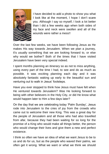

I have decided to add a photo to show you what I look like at the moment, I hope I don't scare you. Although I say so myself, I look a lot better than I did a few weeks ago when both sides of my face and neck were swollen and all of the wounds were rather a mess!!

Over the last few weeks, we have been following Jesus as He makes His way towards Jerusalem. When we plan a journey, it's usually something that we are looking forward to, or else why would we bother? Both of the times that I have visited Jerusalem have been very special indeed.

I spent months planning an itinerary so as not to miss anything, using every part of the time I had, to see and do as much as possible. It was exciting planning each day and it was absolutely fantastic waking up early to the beautiful sun and venturing out to walk in Jesus' footsteps.

Have you ever stopped to think how Jesus must have felt when He ventured towards Jerusalem? Was He looking forward to being with other believers in the Holy City, or did He know what would happen later to Him a few days later?

On the day that we are celebrating today 'Palm Sunday', Jesus rode into Jerusalem to the cries of joy from the crowds who came out to welcome their new King. This was a great day for the people of Jerusalem and all those who had also travelled from afar, because they had been waiting for so long for the promise of a King who would make all things better, the person who would change their lives and give them a new and perfect existence.

I think so often we have an idea of what we want Jesus to be to us and do for us, but as the people who waved their palms, we often get it wrong. What we want or what we think we should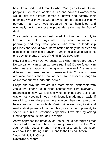have from God is different to what God gives to us. Those people in Jerusalem wanted a rich and powerful warrior who would fight the different forces of power and destroy their enemies. What they got was a loving caring gentle but mighty powerful man who was prepared to be humiliated and eventually go to the cross to prove He really was the Son of God.

The crowds came out and welcomed Him into their city only to turn on Him a few days later. They were jealous of His popularity and they were people who were in leadership positions and should have known better, namely the priests and high priests. How could anyone turn from a joyous welcome one day, to shouts of 'Crucify Him!' a few days later!

How fickle are we? Do we praise God when things are good? Do we call on Him when we are struggling? Do we forget Him when we are happy and doing what we want? Are we any different from those people in Jerusalem? As Christians, these are important questions that we need to be honest enough to answer for our own individual selves.

I hope and pray that we are in a more stable relationship with Jesus that keeps us in close contact with Him everyday regardless of how we feel and whether things are going our way or not. Keeping in touch with Jesus is made much easier if we stick to a regular prayer time, maybe when we wake up or before we go to bed or both. Making time each day to sit and read a short passage from the bible gives us the opportunity to spend time in His presence, especially if we start by asking God to speak to us through His words.

As we approach the great joy of Easter, let us not forget all that Jesus had to go through on His final journey to His Holy City. Journey with Jesus through the greatness, but let us never overlook His suffering. Our true and faithful friend. **Amen**.

Yours faithfully in Christ. **Reverend Graham**.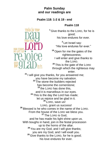#### **Palm Sunday and our readings are**

#### **Psalm 118: 1-2 & 19 - end**

#### **Psalm 118**

**<sup>1</sup>** Give thanks to the LORD, for he is good; his love endures for ever.

> **2** Let Israel say: "His love endures for ever."

**<sup>19</sup>** Open for me the gates of the righteousness; I will enter and give thanks to the LORD. **<sup>20</sup>** This is the gate of the LORD through which the righteous may enter.

**<sup>21</sup>** I will give you thanks, for you answered me; you have become my salvation. The stone the builders rejected has become the cornerstone; **<sup>23</sup>** the LORD has done this, and it is marvellous in our eyes. <sup>24</sup> This is the day the Lord has made; let us rejoice and be glad in it. **<sup>25</sup>** LORD, save us! LORD, grant us success! **<sup>26</sup>** Blessed is he who comes in the name of the LORD. From the house of the LORD we bless you. **<sup>27</sup>** The LORD is God, and he has made his light shine upon us. With boughs in hand, join in the festal procession up to the horns of the altar. **<sup>28</sup>** You are my God, and I will give thanks; you are my God, and I will exalt you. **<sup>29</sup>** Give thanks to the LORD, for he is good; his love endures for ever.

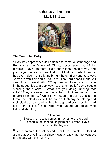## and the Gospel reading is **Mark 11: 1-11**



#### **The Triumphal Entry**

**11** As they approached Jerusalem and came to Bethphage and Bethany at the Mount of Olives, Jesus sent two of his disciples **<sup>2</sup>** saying to them, "Go to the village ahead of you, and just as you enter it, you will find a colt tied there, which no-one has ever ridden. Untie it and bring it here. **3** If anyone asks you, 'Why are you doing this?' tell him, 'The Lord needs it and will send it back here shortly.'" **<sup>4</sup>** They went and found a colt outside in the street, tied at a doorway. As they untied it, **<sup>5</sup>** some people standing there asked, "What are you doing, untying that colt?" **<sup>6</sup>** They answered as Jesus had told them to, and the people let them go. **<sup>7</sup>** When they brought the colt to Jesus and threw their cloaks over it, he sat on it. **<sup>8</sup>** Many people spread their cloaks on the road, while others spread branches they had cut in the fields. **<sup>9</sup>** Those who went ahead and those who followed shouted,

#### "Hosanna!

 Blessed is he who comes in the name of the Lord! **10** Blessed is the coming kingdom of our father David! Hosanna in the highest!"

**<sup>11</sup>** Jesus entered Jerusalem and went to the temple. He looked around at everything, but since it was already late, he went out to Bethany with the Twelve.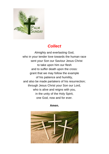

# *Collect*

Almighty and everlasting God, who in your tender love towards the human race sent your Son our Saviour Jesus Christ to take upon him our flesh and to suffer death upon the cross: grant that we may follow the example of his patience and humility, and also be made partakers of his resurrection; through Jesus Christ your Son our Lord, who is alive and reigns with you, in the unity of the Holy Spirit, one God, now and for ever.

#### **Amen.**